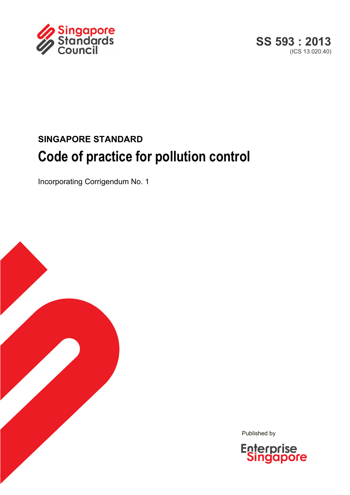



# **SINGAPORE STANDARD Code of practice for pollution control**

Incorporating Corrigendum No. 1



Published by

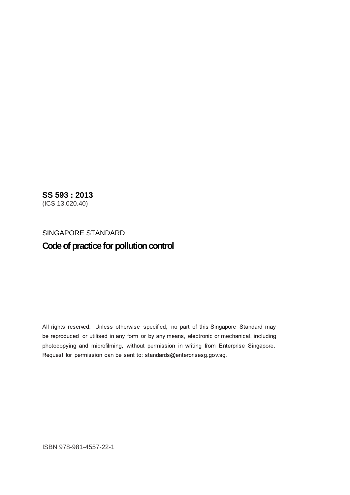**SS 593 : 2013**  (ICS 13.020.40)

SINGAPORE STANDARD **Code of practice for pollution control** 

All rights reserved. Unless otherwise specified, no part of this Singapore Standard may be reproduced or utilised in any form or by any means, electronic or mechanical, including photocopying and microfilming, without permission in writing from Enterprise Singapore. Request for permission can be sent to: standards@enterprisesg.gov.sg.

ISBN 978-981-4557-22-1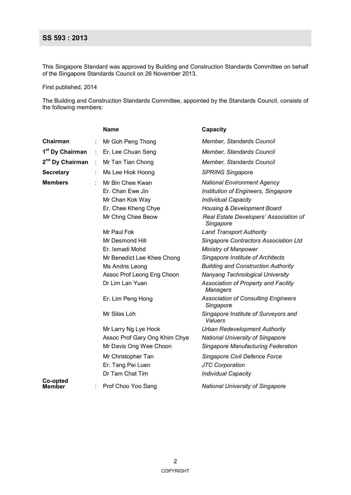## **SS 593 : 2013**

This Singapore Standard was approved by Building and Construction Standards Committee on behalf of the Singapore Standards Council on 26 November 2013.

First published, 2014

The Building and Construction Standards Committee, appointed by the Standards Council, consists of the following members:

|                             |   | <b>Name</b>                   | Capacity                                                |
|-----------------------------|---|-------------------------------|---------------------------------------------------------|
| Chairman                    | ÷ | Mr Goh Peng Thong             | Member, Standards Council                               |
| 1 <sup>st</sup> Dy Chairman | ÷ | Er. Lee Chuan Seng            | Member, Standards Council                               |
| 2 <sup>nd</sup> Dy Chairman | ÷ | Mr Tan Tian Chong             | Member, Standards Council                               |
| <b>Secretary</b>            | ÷ | Ms Lee Hiok Hoong             | <b>SPRING Singapore</b>                                 |
| <b>Members</b>              |   | Mr Bin Chee Kwan              | <b>National Environment Agency</b>                      |
|                             |   | Er. Chan Ewe Jin              | Institution of Engineers, Singapore                     |
|                             |   | Mr Chan Kok Way               | <b>Individual Capacity</b>                              |
|                             |   | Er. Chee Kheng Chye           | Housing & Development Board                             |
|                             |   | Mr Chng Chee Beow             | Real Estate Developers' Association of<br>Singapore     |
|                             |   | Mr Paul Fok                   | <b>Land Transport Authority</b>                         |
|                             |   | Mr Desmond Hill               | Singapore Contractors Association Ltd                   |
|                             |   | Er. Ismadi Mohd               | <b>Ministry of Manpower</b>                             |
|                             |   | Mr Benedict Lee Khee Chong    | Singapore Institute of Architects                       |
|                             |   | Ms Andris Leong               | <b>Building and Construction Authority</b>              |
|                             |   | Assoc Prof Leong Eng Choon    | Nanyang Technological University                        |
|                             |   | Dr Lim Lan Yuan               | Association of Property and Facility<br><b>Managers</b> |
|                             |   | Er. Lim Peng Hong             | <b>Association of Consulting Engineers</b><br>Singapore |
|                             |   | Mr Silas Loh                  | Singapore Institute of Surveyors and<br>Valuers         |
|                             |   | Mr Larry Ng Lye Hock          | <b>Urban Redevelopment Authority</b>                    |
|                             |   | Assoc Prof Gary Ong Khim Chye | <b>National University of Singapore</b>                 |
|                             |   | Mr Davis Ong Wee Choon        | Singapore Manufacturing Federation                      |
|                             |   | Mr Christopher Tan            | Singapore Civil Defence Force                           |
|                             |   | Er. Tang Pei Luen             | <b>JTC Corporation</b>                                  |
|                             |   | Dr Tam Chat Tim               | <b>Individual Capacity</b>                              |
| Co-opted<br>Member          |   | Prof Choo Yoo Sang            | <b>National University of Singapore</b>                 |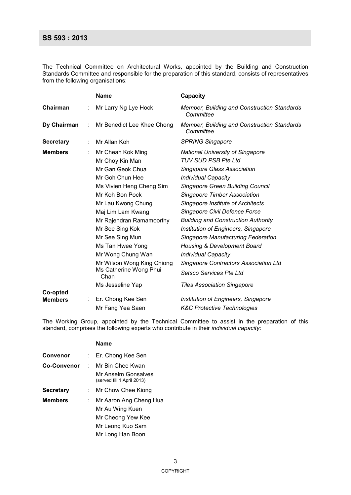#### **SS 593 : 2013**

The Technical Committee on Architectural Works, appointed by the Building and Construction Standards Committee and responsible for the preparation of this standard, consists of representatives from the following organisations:

|                            |   | <b>Name</b>                                                                                                                                                                                                                                                                                                                                      | Capacity                                                                                                                                                                                                                                                                                                                                                                                                                                                                                                                                                          |
|----------------------------|---|--------------------------------------------------------------------------------------------------------------------------------------------------------------------------------------------------------------------------------------------------------------------------------------------------------------------------------------------------|-------------------------------------------------------------------------------------------------------------------------------------------------------------------------------------------------------------------------------------------------------------------------------------------------------------------------------------------------------------------------------------------------------------------------------------------------------------------------------------------------------------------------------------------------------------------|
| Chairman                   |   | Mr Larry Ng Lye Hock                                                                                                                                                                                                                                                                                                                             | Member, Building and Construction Standards<br>Committee                                                                                                                                                                                                                                                                                                                                                                                                                                                                                                          |
| Dy Chairman                | ÷ | Mr Benedict Lee Khee Chong                                                                                                                                                                                                                                                                                                                       | Member, Building and Construction Standards<br>Committee                                                                                                                                                                                                                                                                                                                                                                                                                                                                                                          |
| <b>Secretary</b>           | ÷ | Mr Allan Koh                                                                                                                                                                                                                                                                                                                                     | <b>SPRING Singapore</b>                                                                                                                                                                                                                                                                                                                                                                                                                                                                                                                                           |
| <b>Members</b>             |   | Mr Cheah Kok Ming<br>Mr Choy Kin Man<br>Mr Gan Geok Chua<br>Mr Goh Chun Hee<br>Ms Vivien Heng Cheng Sim<br>Mr Koh Bon Pock<br>Mr Lau Kwong Chung<br>Maj Lim Lam Kwang<br>Mr Rajendran Ramamoorthy<br>Mr See Sing Kok<br>Mr See Sing Mun<br>Ms Tan Hwee Yong<br>Mr Wong Chung Wan<br>Mr Wilson Wong King Chiong<br>Ms Catherine Wong Phui<br>Chan | <b>National University of Singapore</b><br><b>TUV SUD PSB Pte Ltd</b><br>Singapore Glass Association<br><b>Individual Capacity</b><br><b>Singapore Green Building Council</b><br><b>Singapore Timber Association</b><br>Singapore Institute of Architects<br>Singapore Civil Defence Force<br><b>Building and Construction Authority</b><br>Institution of Engineers, Singapore<br>Singapore Manufacturing Federation<br><b>Housing &amp; Development Board</b><br><b>Individual Capacity</b><br>Singapore Contractors Association Ltd<br>Setsco Services Pte Ltd |
|                            |   | Ms Jesseline Yap                                                                                                                                                                                                                                                                                                                                 | <b>Tiles Association Singapore</b>                                                                                                                                                                                                                                                                                                                                                                                                                                                                                                                                |
| Co-opted<br><b>Members</b> |   | Er. Chong Kee Sen<br>Mr Fang Yea Saen                                                                                                                                                                                                                                                                                                            | Institution of Engineers, Singapore<br><b>K&amp;C Protective Technologies</b>                                                                                                                                                                                                                                                                                                                                                                                                                                                                                     |

The Working Group, appointed by the Technical Committee to assist in the preparation of this standard, comprises the following experts who contribute in their *individual capacity*:

|                    |    | Name                                              |
|--------------------|----|---------------------------------------------------|
| <b>Convenor</b>    |    | : Er. Chong Kee Sen                               |
| <b>Co-Convenor</b> |    | ∴ Mr Bin Chee Kwan                                |
|                    |    | Mr Anselm Gonsalves<br>(served till 1 April 2013) |
| <b>Secretary</b>   |    | Mr Chow Chee Kiong                                |
| <b>Members</b>     | ÷. | Mr Aaron Ang Cheng Hua                            |
|                    |    | Mr Au Wing Kuen                                   |
|                    |    | Mr Cheong Yew Kee                                 |
|                    |    | Mr Leong Kuo Sam                                  |
|                    |    | Mr Long Han Boon                                  |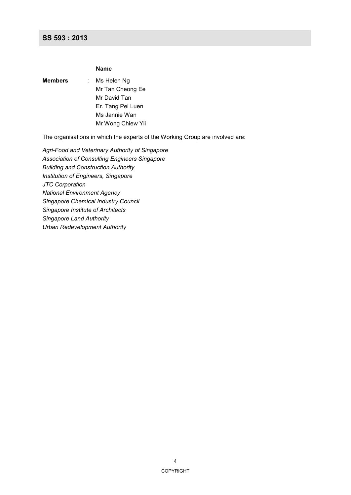#### **SS 593 : 2013**

#### **Name**

| Members | Ms Helen Ng       |
|---------|-------------------|
|         | Mr Tan Cheong Ee  |
|         | Mr David Tan      |
|         | Er. Tang Pei Luen |
|         | Ms Jannie Wan     |
|         | Mr Wong Chiew Yii |
|         |                   |

The organisations in which the experts of the Working Group are involved are:

*Agri-Food and Veterinary Authority of Singapore Association of Consulting Engineers Singapore Building and Construction Authority Institution of Engineers, Singapore JTC Corporation National Environment Agency Singapore Chemical Industry Council Singapore Institute of Architects Singapore Land Authority Urban Redevelopment Authority*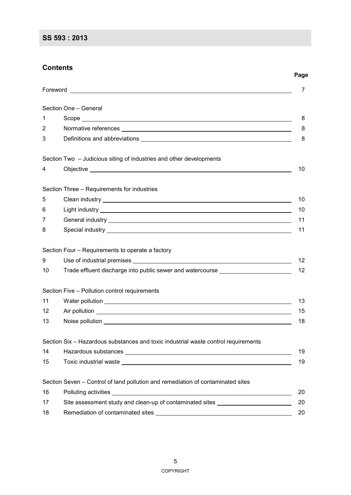## **Contents**

|                   |                                                                                                                                                                                                                                      | Page     |
|-------------------|--------------------------------------------------------------------------------------------------------------------------------------------------------------------------------------------------------------------------------------|----------|
|                   |                                                                                                                                                                                                                                      | $\prime$ |
|                   | Section One - General                                                                                                                                                                                                                |          |
| 1                 |                                                                                                                                                                                                                                      | 8        |
| 2                 |                                                                                                                                                                                                                                      | 8        |
| 3                 |                                                                                                                                                                                                                                      | 8        |
|                   | Section Two – Judicious siting of industries and other developments                                                                                                                                                                  |          |
| 4                 |                                                                                                                                                                                                                                      | 10       |
|                   | Section Three - Requirements for industries                                                                                                                                                                                          |          |
| 5                 |                                                                                                                                                                                                                                      | 10       |
| 6                 |                                                                                                                                                                                                                                      | 10       |
| 7                 |                                                                                                                                                                                                                                      | 11       |
| 8                 |                                                                                                                                                                                                                                      | 11       |
|                   | Section Four – Requirements to operate a factory                                                                                                                                                                                     |          |
| 9                 | Use of industrial premises <b>example and internal control of the set of the set of the set of the set of the set of the set of the set of the set of the set of the set of the set of the set of the set of the set of the set </b> | 12       |
| 10                | Trade effluent discharge into public sewer and watercourse _____________________                                                                                                                                                     | 12       |
|                   | Section Five - Pollution control requirements                                                                                                                                                                                        |          |
| 11                |                                                                                                                                                                                                                                      | 13       |
| $12 \overline{ }$ |                                                                                                                                                                                                                                      | 15       |
| 13                | Noise pollution experience of the state of the state of the state of the state of the state of the state of the                                                                                                                      | 18       |
|                   | Section Six – Hazardous substances and toxic industrial waste control requirements                                                                                                                                                   |          |
| 14                |                                                                                                                                                                                                                                      | 19       |
| 15                |                                                                                                                                                                                                                                      | 19       |
|                   | Section Seven – Control of land pollution and remediation of contaminated sites                                                                                                                                                      |          |
| 16                |                                                                                                                                                                                                                                      | 20       |
| 17                | Site assessment study and clean-up of contaminated sites _______________________                                                                                                                                                     | 20       |
| 18                |                                                                                                                                                                                                                                      | 20       |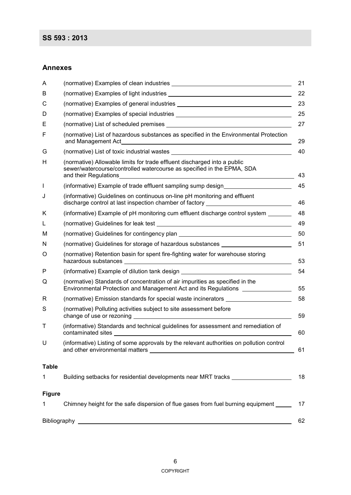#### **Annexes**

| A             |                                                                                                                                                                             | 21 |
|---------------|-----------------------------------------------------------------------------------------------------------------------------------------------------------------------------|----|
| B             |                                                                                                                                                                             | 22 |
| С             |                                                                                                                                                                             | 23 |
| D             |                                                                                                                                                                             | 25 |
| Е             |                                                                                                                                                                             | 27 |
| F             | (normative) List of hazardous substances as specified in the Environmental Protection<br>and Management Act                                                                 | 29 |
| G             | (normative) List of toxic industrial wastes                                                                                                                                 | 40 |
| н             | (normative) Allowable limits for trade effluent discharged into a public<br>sewer/watercourse/controlled watercourse as specified in the EPMA, SDA<br>and their Regulations | 43 |
| $\mathsf{I}$  | (informative) Example of trade effluent sampling sump design                                                                                                                | 45 |
| J             | (informative) Guidelines on continuous on-line pH monitoring and effluent<br>discharge control at last inspection chamber of factory ________________________               | 46 |
| Κ             | (informative) Example of pH monitoring cum effluent discharge control system                                                                                                | 48 |
| L             |                                                                                                                                                                             | 49 |
| м             |                                                                                                                                                                             | 50 |
| N             | (normative) Guidelines for storage of hazardous substances _____________________                                                                                            | 51 |
| O             | (normative) Retention basin for spent fire-fighting water for warehouse storing                                                                                             | 53 |
| P             | (informative) Example of dilution tank design __________________________________                                                                                            | 54 |
| Q             | (normative) Standards of concentration of air impurities as specified in the<br>Environmental Protection and Management Act and its Regulations ________________            | 55 |
| R             | (normative) Emission standards for special waste incinerators [1988] [1988] (normative) Emission standards for special waste incinerators [1988]                            | 58 |
| S             | (normative) Polluting activities subject to site assessment before                                                                                                          | 59 |
| т             | (informative) Standards and technical guidelines for assessment and remediation of<br>contaminated sites                                                                    | 60 |
| U             | (informative) Listing of some approvals by the relevant authorities on pollution control                                                                                    | 61 |
| <b>Table</b>  |                                                                                                                                                                             |    |
| 1             | Building setbacks for residential developments near MRT tracks                                                                                                              | 18 |
| <b>Figure</b> |                                                                                                                                                                             |    |
| 1             | Chimney height for the safe dispersion of flue gases from fuel burning equipment _____                                                                                      | 17 |
|               |                                                                                                                                                                             | 62 |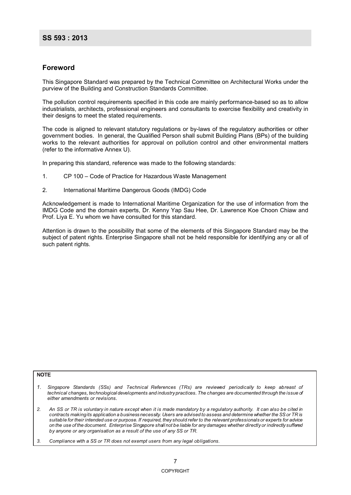#### **Foreword**

This Singapore Standard was prepared by the Technical Committee on Architectural Works under the purview of the Building and Construction Standards Committee.

The pollution control requirements specified in this code are mainly performance-based so as to allow industrialists, architects, professional engineers and consultants to exercise flexibility and creativity in their designs to meet the stated requirements.

The code is aligned to relevant statutory regulations or by-laws of the regulatory authorities or other government bodies. In general, the Qualified Person shall submit Building Plans (BPs) of the building works to the relevant authorities for approval on pollution control and other environmental matters (refer to the informative Annex U).

In preparing this standard, reference was made to the following standards:

- 1. CP 100 Code of Practice for Hazardous Waste Management
- 2. International Maritime Dangerous Goods (IMDG) Code

Acknowledgement is made to International Maritime Organization for the use of information from the IMDG Code and the domain experts, Dr. Kenny Yap Sau Hee, Dr. Lawrence Koe Choon Chiaw and Prof. Liya E. Yu whom we have consulted for this standard.

Attention is drawn to the possibility that some of the elements of this Singapore Standard may be the subject of patent rights. Enterprise Singapore shall not be held responsible for identifying any or all of such patent rights.

#### **NOTE**

- 1. Singapore Standards (SSs) and Technical References (TRs) are reviewed periodically to keep abreast of technical changes, technological developments and industry practices. The changes are documented through the issue of either amendments or revisions.
- $\overline{2}$ . An SS or TR is voluntary in nature except when it is made mandatory by a requlatory authority. It can also be cited in contracts makingits application a business necessity. Users are advised to assess and determine whether the SS or TR is suitable for their intended use or purpose. If required, they should refer to the relevant professionals or experts for advice on the use of the document. Enterprise Singapore shall not be liable for any damages whether directly or indirectly suffered by anyone or any organisation as a result of the use of any SS or TR.
- 3. Compliance with a SS or TR does not exempt users from any legal obligations.